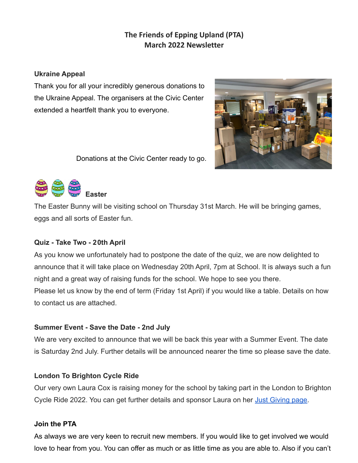# **The Friends of Epping Upland (PTA) March 2022 Newsletter**

#### **Ukraine Appeal**

Thank you for all your incredibly generous donations to the Ukraine Appeal. The organisers at the Civic Center extended a heartfelt thank you to everyone.





Donations at the Civic Center ready to go.



The Easter Bunny will be visiting school on Thursday 31st March. He will be bringing games, eggs and all sorts of Easter fun.

## **Quiz - Take Two - 20th April**

As you know we unfortunately had to postpone the date of the quiz, we are now delighted to announce that it will take place on Wednesday 20th April, 7pm at School. It is always such a fun night and a great way of raising funds for the school. We hope to see you there. Please let us know by the end of term (Friday 1st April) if you would like a table. Details on how to contact us are attached.

## **Summer Event - Save the Date - 2nd July**

We are very excited to announce that we will be back this year with a Summer Event. The date is Saturday 2nd July. Further details will be announced nearer the time so please save the date.

## **London To Brighton Cycle Ride**

Our very own Laura Cox is raising money for the school by taking part in the London to Brighton Cycle Ride 2022. You can get further details and sponsor Laura on her [Just Giving page.](https://www.justgiving.com/fundraising/laura-cox38)

## **Join the PTA**

As always we are very keen to recruit new members. If you would like to get involved we would love to hear from you. You can offer as much or as little time as you are able to. Also if you can't